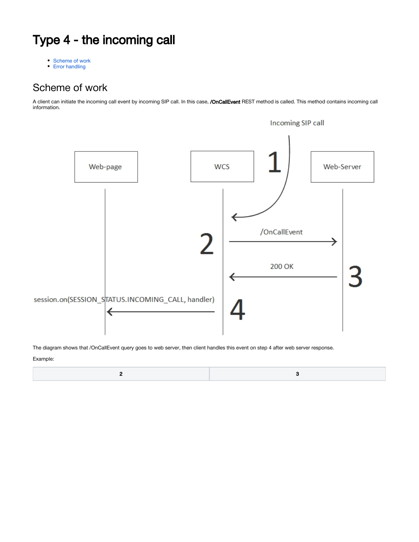## Type 4 - the incoming call

[Scheme of work](#page-0-0)

• [Error handling](#page-1-0)

## <span id="page-0-0"></span>Scheme of work

A client can initiate the incoming call event by incoming SIP call. In this case, **/OnCallEvent** REST method is called. This method contains incoming call information.



The diagram shows that /OnCallEvent query goes to web server, then client handles this event on step 4 after web server response.

Example:

|--|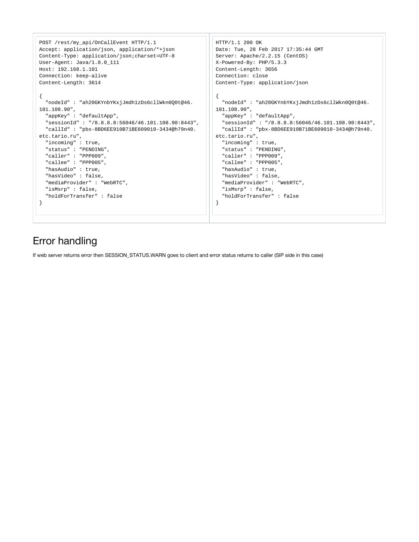```
POST /rest/my_api/OnCallEvent HTTP/1.1
Accept: application/json, application/*+json
Content-Type: application/json;charset=UTF-8
User-Agent: Java/1.8.0_111
Host: 192.168.1.101
Connection: keep-alive
Content-Length: 3614
{
  "nodeId" : "ah20GKYnbYKxjJmdh1zDs6cllWkn0Q0t@46.
101.108.90",
   "appKey" : "defaultApp",
   "sessionId" : "/8.8.8.8:56046/46.101.108.90:8443",
   "callId" : "pbx-8BD6EE910B71BE609010-3434@h79n40.
etc.tario.ru",
   "incoming" : true,
  "status" : "PENDING",
   "caller" : "PPP009",
   "callee" : "PPP005",
   "hasAudio" : true,
  "hasVideo" : false, 
  "mediaProvider" : "WebRTC",
  "isMsrp" : false,
   "holdForTransfer" : false
}
                                                           HTTP/1.1 200 OK
                                                           Date: Tue, 28 Feb 2017 17:35:44 GMT
                                                           Server: Apache/2.2.15 (CentOS)
                                                           X-Powered-By: PHP/5.3.3
                                                           Content-Length: 3656
                                                           Connection: close
                                                           Content-Type: application/json
                                                           {
                                                              "nodeId" : "ah20GKYnbYKxjJmdh1zDs6cllWkn0Q0t@46.
                                                           101.108.90",
                                                               "appKey" : "defaultApp",
                                                               "sessionId" : "/8.8.8.8:56046/46.101.108.90:8443",
                                                               "callId" : "pbx-8BD6EE910B71BE609010-3434@h79n40.
                                                           etc.tario.ru",
                                                               "incoming" : true,
                                                               "status" : "PENDING",
                                                               "caller" : "PPP009",
                                                               "callee" : "PPP005",
                                                               "hasAudio" : true,
                                                               "hasVideo" : false, 
                                                               "mediaProvider" : "WebRTC",
                                                               "isMsrp" : false,
                                                               "holdForTransfer" : false
                                                           }
```
## <span id="page-1-0"></span>Error handling

If web server returns error then SESSION\_STATUS.WARN goes to client and error status returns to caller (SIP side in this case)